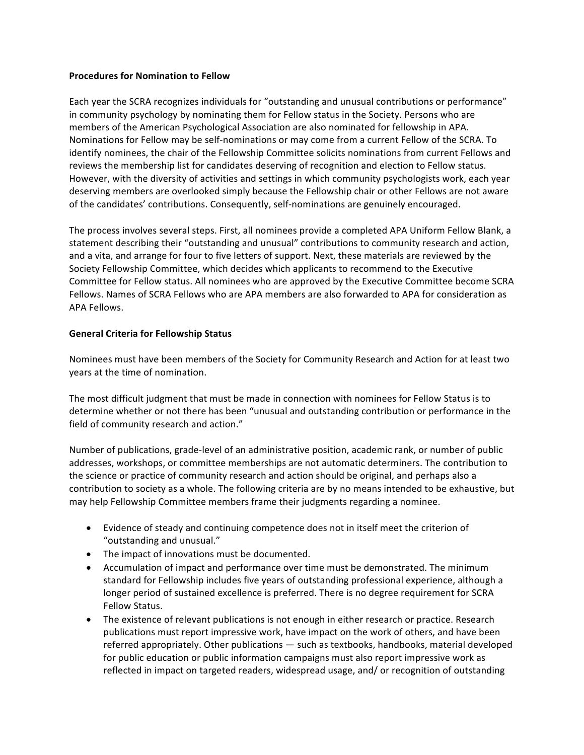# **Procedures for Nomination to Fellow**

Each year the SCRA recognizes individuals for "outstanding and unusual contributions or performance" in community psychology by nominating them for Fellow status in the Society. Persons who are members of the American Psychological Association are also nominated for fellowship in APA. Nominations for Fellow may be self-nominations or may come from a current Fellow of the SCRA. To identify nominees, the chair of the Fellowship Committee solicits nominations from current Fellows and reviews the membership list for candidates deserving of recognition and election to Fellow status. However, with the diversity of activities and settings in which community psychologists work, each year deserving members are overlooked simply because the Fellowship chair or other Fellows are not aware of the candidates' contributions. Consequently, self-nominations are genuinely encouraged.

The process involves several steps. First, all nominees provide a completed APA Uniform Fellow Blank, a statement describing their "outstanding and unusual" contributions to community research and action, and a vita, and arrange for four to five letters of support. Next, these materials are reviewed by the Society Fellowship Committee, which decides which applicants to recommend to the Executive Committee for Fellow status. All nominees who are approved by the Executive Committee become SCRA Fellows. Names of SCRA Fellows who are APA members are also forwarded to APA for consideration as APA Fellows.

# **General Criteria for Fellowship Status**

Nominees must have been members of the Society for Community Research and Action for at least two years at the time of nomination.

The most difficult judgment that must be made in connection with nominees for Fellow Status is to determine whether or not there has been "unusual and outstanding contribution or performance in the field of community research and action."

Number of publications, grade-level of an administrative position, academic rank, or number of public addresses, workshops, or committee memberships are not automatic determiners. The contribution to the science or practice of community research and action should be original, and perhaps also a contribution to society as a whole. The following criteria are by no means intended to be exhaustive, but may help Fellowship Committee members frame their judgments regarding a nominee.

- Evidence of steady and continuing competence does not in itself meet the criterion of "outstanding and unusual."
- $\bullet$  The impact of innovations must be documented.
- Accumulation of impact and performance over time must be demonstrated. The minimum standard for Fellowship includes five years of outstanding professional experience, although a longer period of sustained excellence is preferred. There is no degree requirement for SCRA Fellow Status.
- The existence of relevant publications is not enough in either research or practice. Research publications must report impressive work, have impact on the work of others, and have been referred appropriately. Other publications — such as textbooks, handbooks, material developed for public education or public information campaigns must also report impressive work as reflected in impact on targeted readers, widespread usage, and/ or recognition of outstanding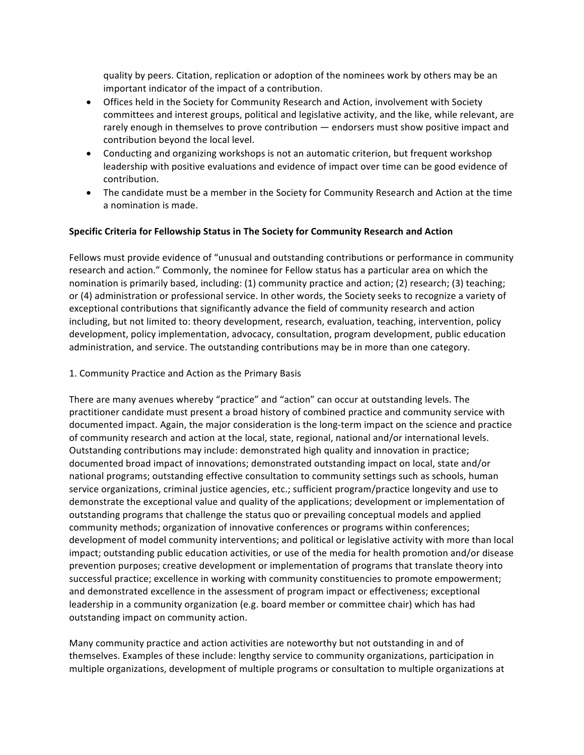quality by peers. Citation, replication or adoption of the nominees work by others may be an important indicator of the impact of a contribution.

- Offices held in the Society for Community Research and Action, involvement with Society committees and interest groups, political and legislative activity, and the like, while relevant, are rarely enough in themselves to prove contribution  $-$  endorsers must show positive impact and contribution beyond the local level.
- Conducting and organizing workshops is not an automatic criterion, but frequent workshop leadership with positive evaluations and evidence of impact over time can be good evidence of contribution.
- The candidate must be a member in the Society for Community Research and Action at the time a nomination is made.

# **Specific Criteria for Fellowship Status in The Society for Community Research and Action**

Fellows must provide evidence of "unusual and outstanding contributions or performance in community research and action." Commonly, the nominee for Fellow status has a particular area on which the nomination is primarily based, including: (1) community practice and action; (2) research; (3) teaching; or (4) administration or professional service. In other words, the Society seeks to recognize a variety of exceptional contributions that significantly advance the field of community research and action including, but not limited to: theory development, research, evaluation, teaching, intervention, policy development, policy implementation, advocacy, consultation, program development, public education administration, and service. The outstanding contributions may be in more than one category.

1. Community Practice and Action as the Primary Basis

There are many avenues whereby "practice" and "action" can occur at outstanding levels. The practitioner candidate must present a broad history of combined practice and community service with documented impact. Again, the major consideration is the long-term impact on the science and practice of community research and action at the local, state, regional, national and/or international levels. Outstanding contributions may include: demonstrated high quality and innovation in practice; documented broad impact of innovations; demonstrated outstanding impact on local, state and/or national programs; outstanding effective consultation to community settings such as schools, human service organizations, criminal justice agencies, etc.; sufficient program/practice longevity and use to demonstrate the exceptional value and quality of the applications; development or implementation of outstanding programs that challenge the status quo or prevailing conceptual models and applied community methods; organization of innovative conferences or programs within conferences; development of model community interventions; and political or legislative activity with more than local impact; outstanding public education activities, or use of the media for health promotion and/or disease prevention purposes; creative development or implementation of programs that translate theory into successful practice; excellence in working with community constituencies to promote empowerment; and demonstrated excellence in the assessment of program impact or effectiveness; exceptional leadership in a community organization (e.g. board member or committee chair) which has had outstanding impact on community action.

Many community practice and action activities are noteworthy but not outstanding in and of themselves. Examples of these include: lengthy service to community organizations, participation in multiple organizations, development of multiple programs or consultation to multiple organizations at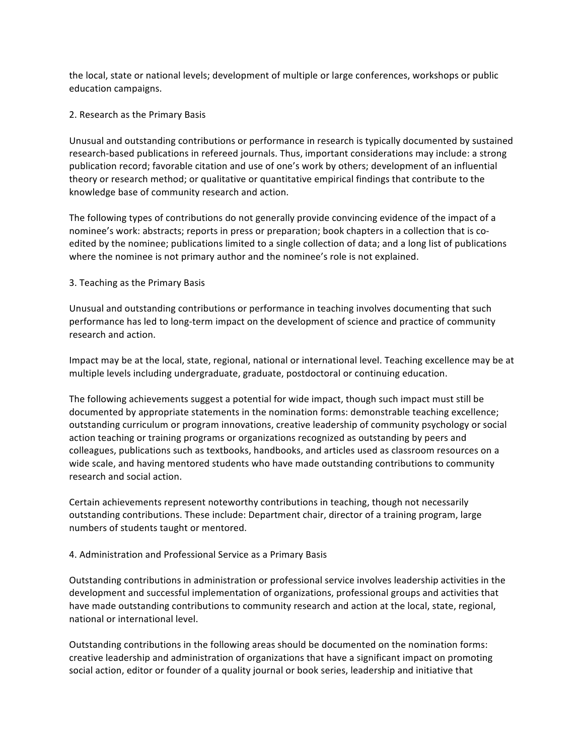the local, state or national levels; development of multiple or large conferences, workshops or public education campaigns.

### 2. Research as the Primary Basis

Unusual and outstanding contributions or performance in research is typically documented by sustained research-based publications in refereed journals. Thus, important considerations may include: a strong publication record; favorable citation and use of one's work by others; development of an influential theory or research method; or qualitative or quantitative empirical findings that contribute to the knowledge base of community research and action.

The following types of contributions do not generally provide convincing evidence of the impact of a nominee's work: abstracts; reports in press or preparation; book chapters in a collection that is coedited by the nominee; publications limited to a single collection of data; and a long list of publications where the nominee is not primary author and the nominee's role is not explained.

# 3. Teaching as the Primary Basis

Unusual and outstanding contributions or performance in teaching involves documenting that such performance has led to long-term impact on the development of science and practice of community research and action.

Impact may be at the local, state, regional, national or international level. Teaching excellence may be at multiple levels including undergraduate, graduate, postdoctoral or continuing education.

The following achievements suggest a potential for wide impact, though such impact must still be documented by appropriate statements in the nomination forms: demonstrable teaching excellence; outstanding curriculum or program innovations, creative leadership of community psychology or social action teaching or training programs or organizations recognized as outstanding by peers and colleagues, publications such as textbooks, handbooks, and articles used as classroom resources on a wide scale, and having mentored students who have made outstanding contributions to community research and social action.

Certain achievements represent noteworthy contributions in teaching, though not necessarily outstanding contributions. These include: Department chair, director of a training program, large numbers of students taught or mentored.

# 4. Administration and Professional Service as a Primary Basis

Outstanding contributions in administration or professional service involves leadership activities in the development and successful implementation of organizations, professional groups and activities that have made outstanding contributions to community research and action at the local, state, regional, national or international level.

Outstanding contributions in the following areas should be documented on the nomination forms: creative leadership and administration of organizations that have a significant impact on promoting social action, editor or founder of a quality journal or book series, leadership and initiative that